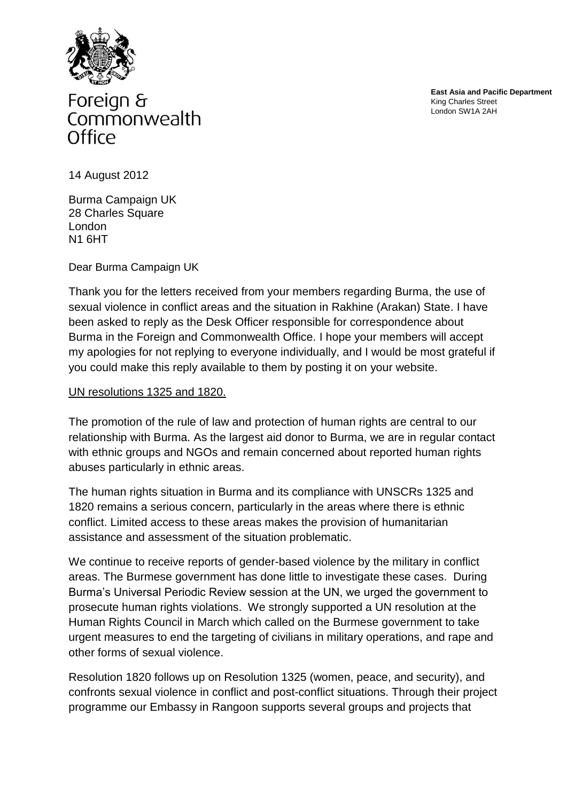

Foreign & Commonwealth Office

**East Asia and Pacific Department** King Charles Street London SW1A 2AH

14 August 2012

Burma Campaign UK 28 Charles Square London N1 6HT

Dear Burma Campaign UK

Thank you for the letters received from your members regarding Burma, the use of sexual violence in conflict areas and the situation in Rakhine (Arakan) State. I have been asked to reply as the Desk Officer responsible for correspondence about Burma in the Foreign and Commonwealth Office. I hope your members will accept my apologies for not replying to everyone individually, and I would be most grateful if you could make this reply available to them by posting it on your website.

## UN resolutions 1325 and 1820.

The promotion of the rule of law and protection of human rights are central to our relationship with Burma. As the largest aid donor to Burma, we are in regular contact with ethnic groups and NGOs and remain concerned about reported human rights abuses particularly in ethnic areas.

The human rights situation in Burma and its compliance with UNSCRs 1325 and 1820 remains a serious concern, particularly in the areas where there is ethnic conflict. Limited access to these areas makes the provision of humanitarian assistance and assessment of the situation problematic.

We continue to receive reports of gender-based violence by the military in conflict areas. The Burmese government has done little to investigate these cases. During Burma's Universal Periodic Review session at the UN, we urged the government to prosecute human rights violations. We strongly supported a UN resolution at the Human Rights Council in March which called on the Burmese government to take urgent measures to end the targeting of civilians in military operations, and rape and other forms of sexual violence.

Resolution 1820 follows up on Resolution 1325 (women, peace, and security), and confronts sexual violence in conflict and post-conflict situations. Through their project programme our Embassy in Rangoon supports several groups and projects that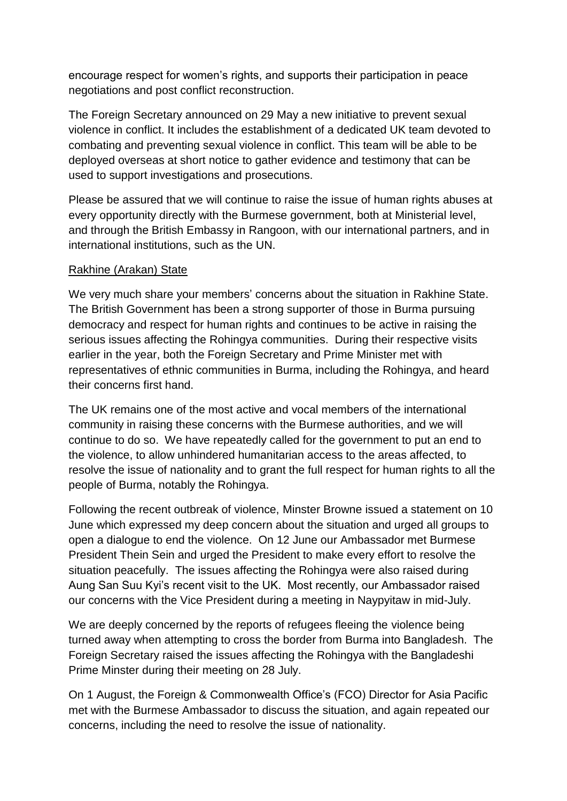encourage respect for women's rights, and supports their participation in peace negotiations and post conflict reconstruction.

The Foreign Secretary announced on 29 May a new initiative to prevent sexual violence in conflict. It includes the establishment of a dedicated UK team devoted to combating and preventing sexual violence in conflict. This team will be able to be deployed overseas at short notice to gather evidence and testimony that can be used to support investigations and prosecutions.

Please be assured that we will continue to raise the issue of human rights abuses at every opportunity directly with the Burmese government, both at Ministerial level, and through the British Embassy in Rangoon, with our international partners, and in international institutions, such as the UN.

## Rakhine (Arakan) State

We very much share your members' concerns about the situation in Rakhine State. The British Government has been a strong supporter of those in Burma pursuing democracy and respect for human rights and continues to be active in raising the serious issues affecting the Rohingya communities. During their respective visits earlier in the year, both the Foreign Secretary and Prime Minister met with representatives of ethnic communities in Burma, including the Rohingya, and heard their concerns first hand.

The UK remains one of the most active and vocal members of the international community in raising these concerns with the Burmese authorities, and we will continue to do so. We have repeatedly called for the government to put an end to the violence, to allow unhindered humanitarian access to the areas affected, to resolve the issue of nationality and to grant the full respect for human rights to all the people of Burma, notably the Rohingya.

Following the recent outbreak of violence, Minster Browne issued a statement on 10 June which expressed my deep concern about the situation and urged all groups to open a dialogue to end the violence. On 12 June our Ambassador met Burmese President Thein Sein and urged the President to make every effort to resolve the situation peacefully. The issues affecting the Rohingya were also raised during Aung San Suu Kyi's recent visit to the UK. Most recently, our Ambassador raised our concerns with the Vice President during a meeting in Naypyitaw in mid-July.

We are deeply concerned by the reports of refugees fleeing the violence being turned away when attempting to cross the border from Burma into Bangladesh. The Foreign Secretary raised the issues affecting the Rohingya with the Bangladeshi Prime Minster during their meeting on 28 July.

On 1 August, the Foreign & Commonwealth Office's (FCO) Director for Asia Pacific met with the Burmese Ambassador to discuss the situation, and again repeated our concerns, including the need to resolve the issue of nationality.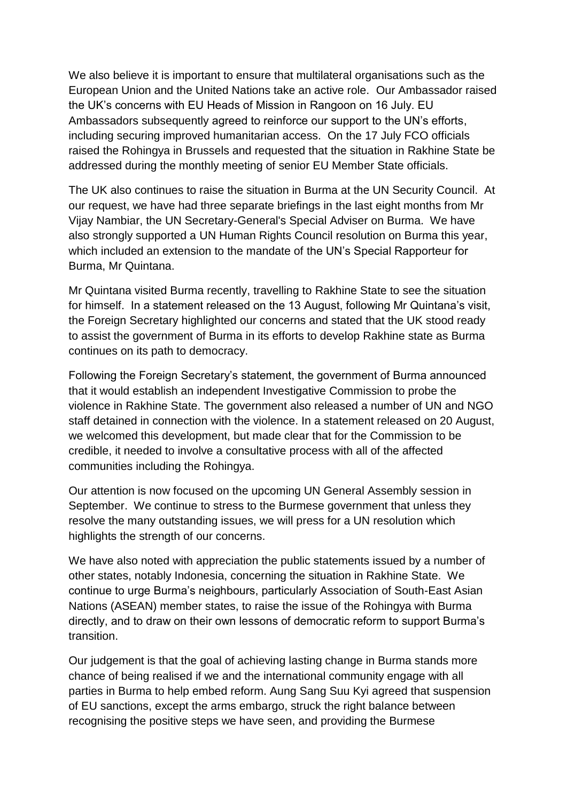We also believe it is important to ensure that multilateral organisations such as the European Union and the United Nations take an active role. Our Ambassador raised the UK's concerns with EU Heads of Mission in Rangoon on 16 July. EU Ambassadors subsequently agreed to reinforce our support to the UN's efforts, including securing improved humanitarian access. On the 17 July FCO officials raised the Rohingya in Brussels and requested that the situation in Rakhine State be addressed during the monthly meeting of senior EU Member State officials.

The UK also continues to raise the situation in Burma at the UN Security Council. At our request, we have had three separate briefings in the last eight months from Mr Vijay Nambiar, the UN Secretary-General's Special Adviser on Burma. We have also strongly supported a UN Human Rights Council resolution on Burma this year, which included an extension to the mandate of the UN's Special Rapporteur for Burma, Mr Quintana.

Mr Quintana visited Burma recently, travelling to Rakhine State to see the situation for himself. In a statement released on the 13 August, following Mr Quintana's visit, the Foreign Secretary highlighted our concerns and stated that the UK stood ready to assist the government of Burma in its efforts to develop Rakhine state as Burma continues on its path to democracy.

Following the Foreign Secretary's statement, the government of Burma announced that it would establish an independent Investigative Commission to probe the violence in Rakhine State. The government also released a number of UN and NGO staff detained in connection with the violence. In a statement released on 20 August, we welcomed this development, but made clear that for the Commission to be credible, it needed to involve a consultative process with all of the affected communities including the Rohingya.

Our attention is now focused on the upcoming UN General Assembly session in September. We continue to stress to the Burmese government that unless they resolve the many outstanding issues, we will press for a UN resolution which highlights the strength of our concerns.

We have also noted with appreciation the public statements issued by a number of other states, notably Indonesia, concerning the situation in Rakhine State. We continue to urge Burma's neighbours, particularly Association of South-East Asian Nations (ASEAN) member states, to raise the issue of the Rohingya with Burma directly, and to draw on their own lessons of democratic reform to support Burma's transition.

Our judgement is that the goal of achieving lasting change in Burma stands more chance of being realised if we and the international community engage with all parties in Burma to help embed reform. Aung Sang Suu Kyi agreed that suspension of EU sanctions, except the arms embargo, struck the right balance between recognising the positive steps we have seen, and providing the Burmese